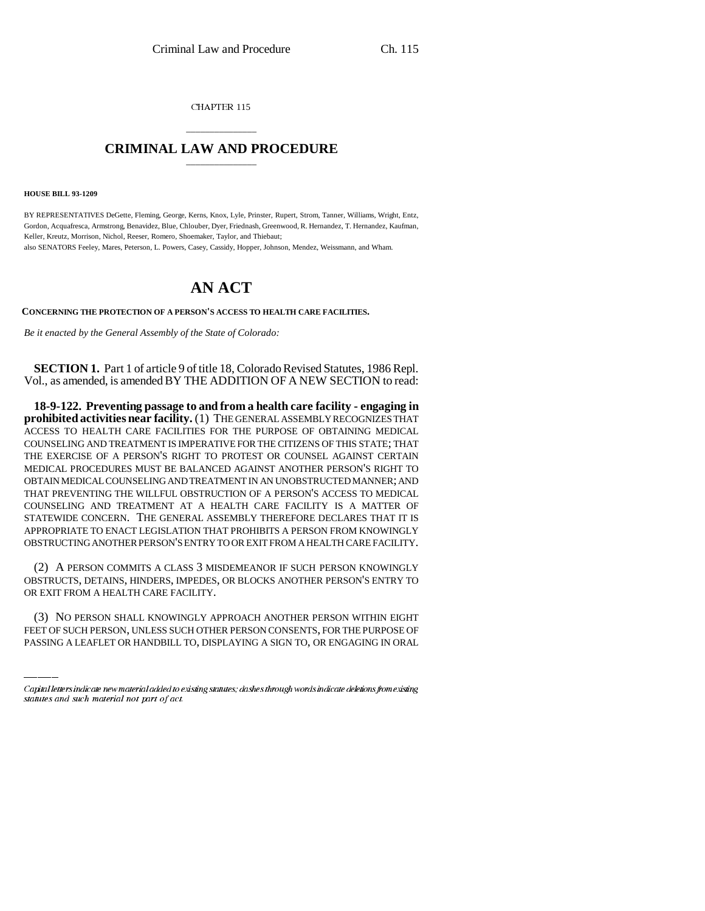CHAPTER 115

## \_\_\_\_\_\_\_\_\_\_\_\_\_\_\_ **CRIMINAL LAW AND PROCEDURE** \_\_\_\_\_\_\_\_\_\_\_\_\_\_\_

**HOUSE BILL 93-1209**

BY REPRESENTATIVES DeGette, Fleming, George, Kerns, Knox, Lyle, Prinster, Rupert, Strom, Tanner, Williams, Wright, Entz, Gordon, Acquafresca, Armstrong, Benavidez, Blue, Chlouber, Dyer, Friednash, Greenwood, R. Hernandez, T. Hernandez, Kaufman, Keller, Kreutz, Morrison, Nichol, Reeser, Romero, Shoemaker, Taylor, and Thiebaut;

also SENATORS Feeley, Mares, Peterson, L. Powers, Casey, Cassidy, Hopper, Johnson, Mendez, Weissmann, and Wham.

## **AN ACT**

**CONCERNING THE PROTECTION OF A PERSON'S ACCESS TO HEALTH CARE FACILITIES.**

*Be it enacted by the General Assembly of the State of Colorado:* 

**SECTION 1.** Part 1 of article 9 of title 18, Colorado Revised Statutes, 1986 Repl. Vol., as amended, is amended BY THE ADDITION OF A NEW SECTION to read:

**18-9-122. Preventing passage to and from a health care facility - engaging in prohibited activities near facility.** (1) THE GENERAL ASSEMBLY RECOGNIZES THAT ACCESS TO HEALTH CARE FACILITIES FOR THE PURPOSE OF OBTAINING MEDICAL COUNSELING AND TREATMENT IS IMPERATIVE FOR THE CITIZENS OF THIS STATE; THAT THE EXERCISE OF A PERSON'S RIGHT TO PROTEST OR COUNSEL AGAINST CERTAIN MEDICAL PROCEDURES MUST BE BALANCED AGAINST ANOTHER PERSON'S RIGHT TO OBTAIN MEDICAL COUNSELING AND TREATMENT IN AN UNOBSTRUCTED MANNER; AND THAT PREVENTING THE WILLFUL OBSTRUCTION OF A PERSON'S ACCESS TO MEDICAL COUNSELING AND TREATMENT AT A HEALTH CARE FACILITY IS A MATTER OF STATEWIDE CONCERN. THE GENERAL ASSEMBLY THEREFORE DECLARES THAT IT IS APPROPRIATE TO ENACT LEGISLATION THAT PROHIBITS A PERSON FROM KNOWINGLY OBSTRUCTING ANOTHER PERSON'S ENTRY TO OR EXIT FROM A HEALTH CARE FACILITY.

OR EXIT FROM A HEALTH CARE FACILITY. (2) A PERSON COMMITS A CLASS 3 MISDEMEANOR IF SUCH PERSON KNOWINGLY OBSTRUCTS, DETAINS, HINDERS, IMPEDES, OR BLOCKS ANOTHER PERSON'S ENTRY TO

(3) NO PERSON SHALL KNOWINGLY APPROACH ANOTHER PERSON WITHIN EIGHT FEET OF SUCH PERSON, UNLESS SUCH OTHER PERSON CONSENTS, FOR THE PURPOSE OF PASSING A LEAFLET OR HANDBILL TO, DISPLAYING A SIGN TO, OR ENGAGING IN ORAL

Capital letters indicate new material added to existing statutes; dashes through words indicate deletions from existing statutes and such material not part of act.